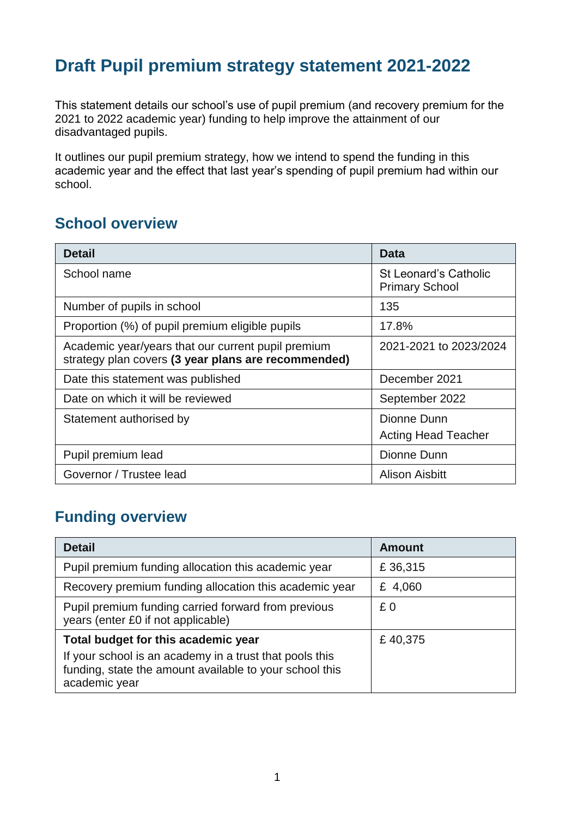# **Draft Pupil premium strategy statement 2021-2022**

This statement details our school's use of pupil premium (and recovery premium for the 2021 to 2022 academic year) funding to help improve the attainment of our disadvantaged pupils.

It outlines our pupil premium strategy, how we intend to spend the funding in this academic year and the effect that last year's spending of pupil premium had within our school.

#### **School overview**

| <b>Detail</b>                                                                                             | Data                                                  |
|-----------------------------------------------------------------------------------------------------------|-------------------------------------------------------|
| School name                                                                                               | <b>St Leonard's Catholic</b><br><b>Primary School</b> |
| Number of pupils in school                                                                                | 135                                                   |
| Proportion (%) of pupil premium eligible pupils                                                           | 17.8%                                                 |
| Academic year/years that our current pupil premium<br>strategy plan covers (3 year plans are recommended) | 2021-2021 to 2023/2024                                |
| Date this statement was published                                                                         | December 2021                                         |
| Date on which it will be reviewed                                                                         | September 2022                                        |
| Statement authorised by                                                                                   | Dionne Dunn<br><b>Acting Head Teacher</b>             |
| Pupil premium lead                                                                                        | Dionne Dunn                                           |
| Governor / Trustee lead                                                                                   | <b>Alison Aisbitt</b>                                 |

### **Funding overview**

| <b>Detail</b>                                                                                                                                                              | <b>Amount</b> |
|----------------------------------------------------------------------------------------------------------------------------------------------------------------------------|---------------|
| Pupil premium funding allocation this academic year                                                                                                                        | £36,315       |
| Recovery premium funding allocation this academic year                                                                                                                     | £ 4,060       |
| Pupil premium funding carried forward from previous<br>years (enter £0 if not applicable)                                                                                  | £0            |
| Total budget for this academic year<br>If your school is an academy in a trust that pools this<br>funding, state the amount available to your school this<br>academic year | £40,375       |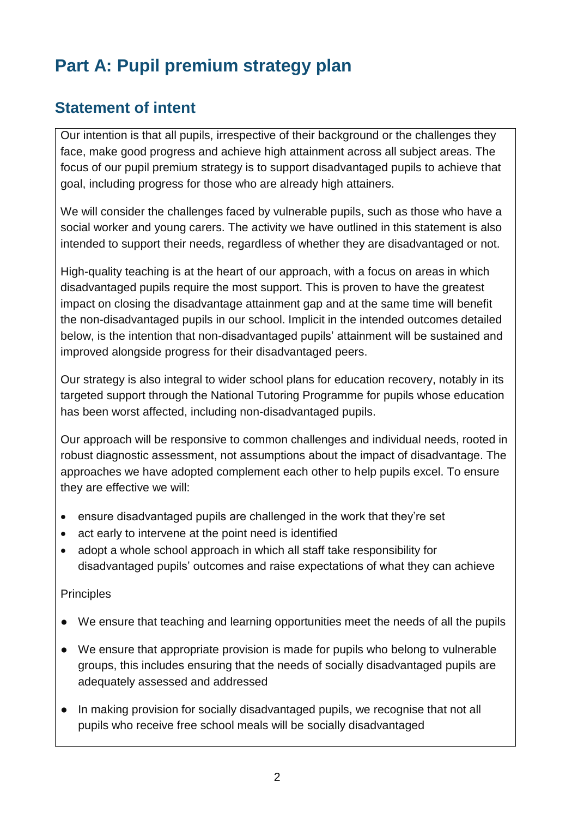# **Part A: Pupil premium strategy plan**

## **Statement of intent**

Our intention is that all pupils, irrespective of their background or the challenges they face, make good progress and achieve high attainment across all subject areas. The focus of our pupil premium strategy is to support disadvantaged pupils to achieve that goal, including progress for those who are already high attainers.

We will consider the challenges faced by vulnerable pupils, such as those who have a social worker and young carers. The activity we have outlined in this statement is also intended to support their needs, regardless of whether they are disadvantaged or not.

High-quality teaching is at the heart of our approach, with a focus on areas in which disadvantaged pupils require the most support. This is proven to have the greatest impact on closing the disadvantage attainment gap and at the same time will benefit the non-disadvantaged pupils in our school. Implicit in the intended outcomes detailed below, is the intention that non-disadvantaged pupils' attainment will be sustained and improved alongside progress for their disadvantaged peers.

Our strategy is also integral to wider school plans for education recovery, notably in its targeted support through the National Tutoring Programme for pupils whose education has been worst affected, including non-disadvantaged pupils.

Our approach will be responsive to common challenges and individual needs, rooted in robust diagnostic assessment, not assumptions about the impact of disadvantage. The approaches we have adopted complement each other to help pupils excel. To ensure they are effective we will:

- ensure disadvantaged pupils are challenged in the work that they're set
- act early to intervene at the point need is identified
- adopt a whole school approach in which all staff take responsibility for disadvantaged pupils' outcomes and raise expectations of what they can achieve

#### **Principles**

- We ensure that teaching and learning opportunities meet the needs of all the pupils
- We ensure that appropriate provision is made for pupils who belong to vulnerable groups, this includes ensuring that the needs of socially disadvantaged pupils are adequately assessed and addressed
- In making provision for socially disadvantaged pupils, we recognise that not all pupils who receive free school meals will be socially disadvantaged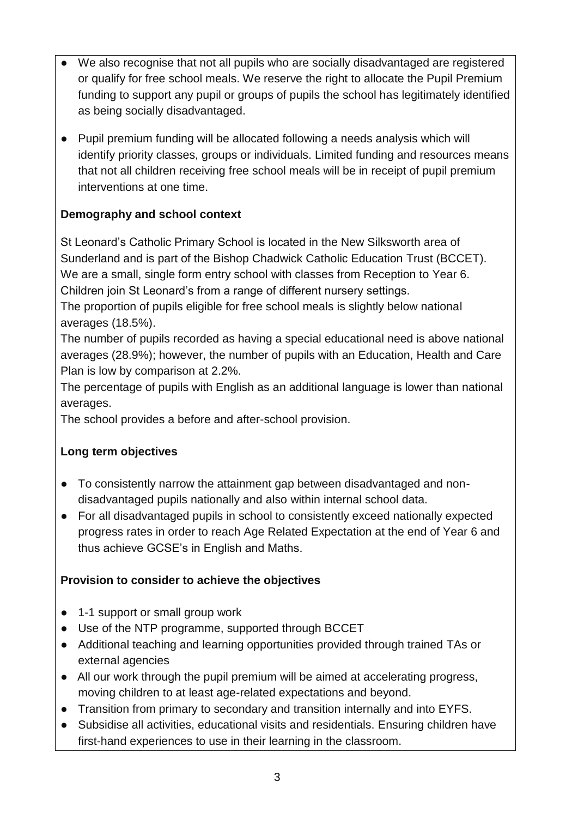- We also recognise that not all pupils who are socially disadvantaged are registered or qualify for free school meals. We reserve the right to allocate the Pupil Premium funding to support any pupil or groups of pupils the school has legitimately identified as being socially disadvantaged.
- Pupil premium funding will be allocated following a needs analysis which will identify priority classes, groups or individuals. Limited funding and resources means that not all children receiving free school meals will be in receipt of pupil premium interventions at one time.

#### **Demography and school context**

St Leonard's Catholic Primary School is located in the New Silksworth area of Sunderland and is part of the Bishop Chadwick Catholic Education Trust (BCCET). We are a small, single form entry school with classes from Reception to Year 6. Children join St Leonard's from a range of different nursery settings.

The proportion of pupils eligible for free school meals is slightly below national averages (18.5%).

The number of pupils recorded as having a special educational need is above national averages (28.9%); however, the number of pupils with an Education, Health and Care Plan is low by comparison at 2.2%.

The percentage of pupils with English as an additional language is lower than national averages.

The school provides a before and after-school provision.

#### **Long term objectives**

- To consistently narrow the attainment gap between disadvantaged and nondisadvantaged pupils nationally and also within internal school data.
- For all disadvantaged pupils in school to consistently exceed nationally expected progress rates in order to reach Age Related Expectation at the end of Year 6 and thus achieve GCSE's in English and Maths.

#### **Provision to consider to achieve the objectives**

- 1-1 support or small group work
- Use of the NTP programme, supported through BCCET
- Additional teaching and learning opportunities provided through trained TAs or external agencies
- All our work through the pupil premium will be aimed at accelerating progress, moving children to at least age-related expectations and beyond.
- Transition from primary to secondary and transition internally and into EYFS.
- Subsidise all activities, educational visits and residentials. Ensuring children have first-hand experiences to use in their learning in the classroom.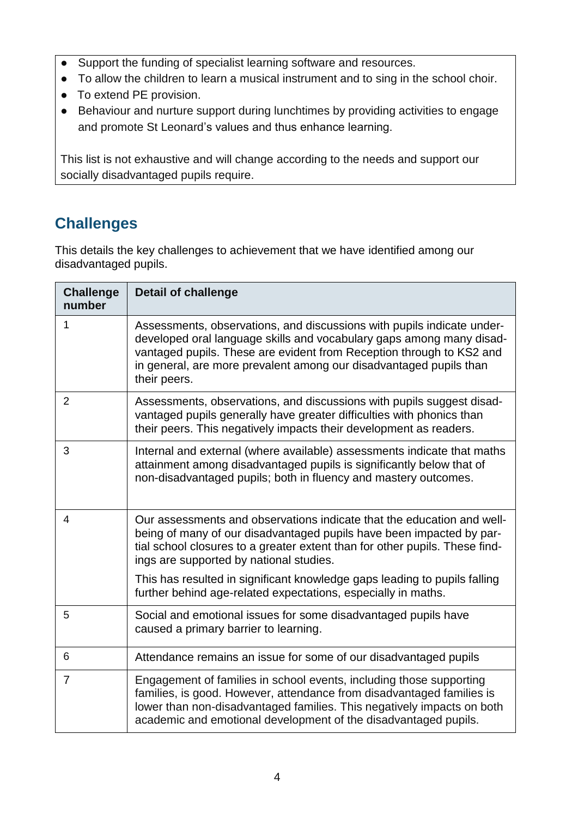- Support the funding of specialist learning software and resources.
- To allow the children to learn a musical instrument and to sing in the school choir.
- To extend PE provision.
- Behaviour and nurture support during lunchtimes by providing activities to engage and promote St Leonard's values and thus enhance learning.

This list is not exhaustive and will change according to the needs and support our socially disadvantaged pupils require.

## **Challenges**

This details the key challenges to achievement that we have identified among our disadvantaged pupils.

| <b>Challenge</b><br>number | <b>Detail of challenge</b>                                                                                                                                                                                                                                                                                   |
|----------------------------|--------------------------------------------------------------------------------------------------------------------------------------------------------------------------------------------------------------------------------------------------------------------------------------------------------------|
| 1                          | Assessments, observations, and discussions with pupils indicate under-<br>developed oral language skills and vocabulary gaps among many disad-<br>vantaged pupils. These are evident from Reception through to KS2 and<br>in general, are more prevalent among our disadvantaged pupils than<br>their peers. |
| $\overline{2}$             | Assessments, observations, and discussions with pupils suggest disad-<br>vantaged pupils generally have greater difficulties with phonics than<br>their peers. This negatively impacts their development as readers.                                                                                         |
| 3                          | Internal and external (where available) assessments indicate that maths<br>attainment among disadvantaged pupils is significantly below that of<br>non-disadvantaged pupils; both in fluency and mastery outcomes.                                                                                           |
| 4                          | Our assessments and observations indicate that the education and well-<br>being of many of our disadvantaged pupils have been impacted by par-<br>tial school closures to a greater extent than for other pupils. These find-<br>ings are supported by national studies.                                     |
|                            | This has resulted in significant knowledge gaps leading to pupils falling<br>further behind age-related expectations, especially in maths.                                                                                                                                                                   |
| 5                          | Social and emotional issues for some disadvantaged pupils have<br>caused a primary barrier to learning.                                                                                                                                                                                                      |
| 6                          | Attendance remains an issue for some of our disadvantaged pupils                                                                                                                                                                                                                                             |
| 7                          | Engagement of families in school events, including those supporting<br>families, is good. However, attendance from disadvantaged families is<br>lower than non-disadvantaged families. This negatively impacts on both<br>academic and emotional development of the disadvantaged pupils.                    |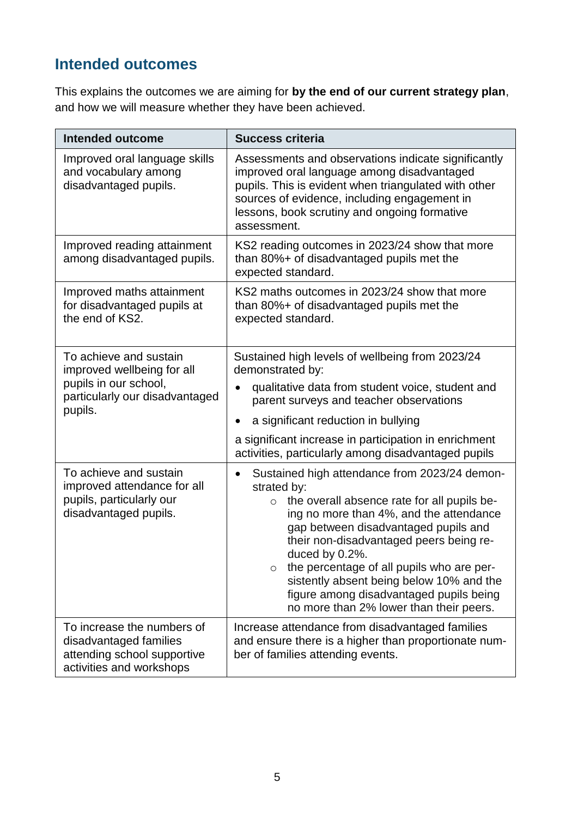# **Intended outcomes**

This explains the outcomes we are aiming for **by the end of our current strategy plan**, and how we will measure whether they have been achieved.

| Intended outcome                                                                                                           | <b>Success criteria</b>                                                                                                                                                                                                                                                                                                                                                                                                                               |  |
|----------------------------------------------------------------------------------------------------------------------------|-------------------------------------------------------------------------------------------------------------------------------------------------------------------------------------------------------------------------------------------------------------------------------------------------------------------------------------------------------------------------------------------------------------------------------------------------------|--|
| Improved oral language skills<br>and vocabulary among<br>disadvantaged pupils.                                             | Assessments and observations indicate significantly<br>improved oral language among disadvantaged<br>pupils. This is evident when triangulated with other<br>sources of evidence, including engagement in<br>lessons, book scrutiny and ongoing formative<br>assessment.                                                                                                                                                                              |  |
| Improved reading attainment<br>among disadvantaged pupils.                                                                 | KS2 reading outcomes in 2023/24 show that more<br>than 80%+ of disadvantaged pupils met the<br>expected standard.                                                                                                                                                                                                                                                                                                                                     |  |
| Improved maths attainment<br>for disadvantaged pupils at<br>the end of KS2.                                                | KS2 maths outcomes in 2023/24 show that more<br>than 80%+ of disadvantaged pupils met the<br>expected standard.                                                                                                                                                                                                                                                                                                                                       |  |
| To achieve and sustain<br>improved wellbeing for all<br>pupils in our school,<br>particularly our disadvantaged<br>pupils. | Sustained high levels of wellbeing from 2023/24<br>demonstrated by:<br>qualitative data from student voice, student and<br>parent surveys and teacher observations<br>a significant reduction in bullying<br>a significant increase in participation in enrichment<br>activities, particularly among disadvantaged pupils                                                                                                                             |  |
| To achieve and sustain<br>improved attendance for all<br>pupils, particularly our<br>disadvantaged pupils.                 | Sustained high attendance from 2023/24 demon-<br>strated by:<br>the overall absence rate for all pupils be-<br>$\circ$<br>ing no more than 4%, and the attendance<br>gap between disadvantaged pupils and<br>their non-disadvantaged peers being re-<br>duced by 0.2%.<br>the percentage of all pupils who are per-<br>sistently absent being below 10% and the<br>figure among disadvantaged pupils being<br>no more than 2% lower than their peers. |  |
| To increase the numbers of<br>disadvantaged families<br>attending school supportive<br>activities and workshops            | Increase attendance from disadvantaged families<br>and ensure there is a higher than proportionate num-<br>ber of families attending events.                                                                                                                                                                                                                                                                                                          |  |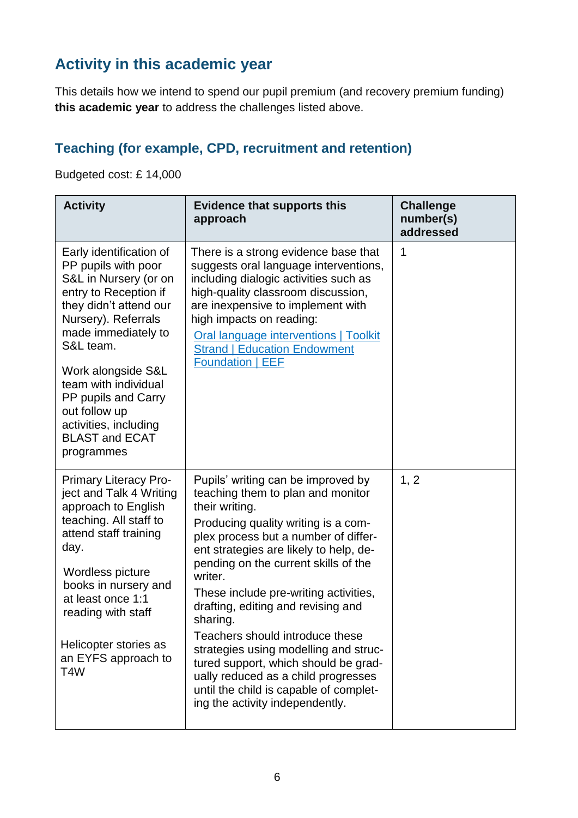# **Activity in this academic year**

This details how we intend to spend our pupil premium (and recovery premium funding) **this academic year** to address the challenges listed above.

### **Teaching (for example, CPD, recruitment and retention)**

Budgeted cost: £ 14,000

| <b>Activity</b>                                                                                                                                                                                                                                                                                                                             | <b>Evidence that supports this</b><br>approach                                                                                                                                                                                                                                                                                                                                                                                                                                                                                                                                                           | <b>Challenge</b><br>number(s)<br>addressed |
|---------------------------------------------------------------------------------------------------------------------------------------------------------------------------------------------------------------------------------------------------------------------------------------------------------------------------------------------|----------------------------------------------------------------------------------------------------------------------------------------------------------------------------------------------------------------------------------------------------------------------------------------------------------------------------------------------------------------------------------------------------------------------------------------------------------------------------------------------------------------------------------------------------------------------------------------------------------|--------------------------------------------|
| Early identification of<br>PP pupils with poor<br>S&L in Nursery (or on<br>entry to Reception if<br>they didn't attend our<br>Nursery). Referrals<br>made immediately to<br>S&L team.<br>Work alongside S&L<br>team with individual<br>PP pupils and Carry<br>out follow up<br>activities, including<br><b>BLAST and ECAT</b><br>programmes | There is a strong evidence base that<br>suggests oral language interventions,<br>including dialogic activities such as<br>high-quality classroom discussion,<br>are inexpensive to implement with<br>high impacts on reading:<br>Oral language interventions   Toolkit<br><b>Strand   Education Endowment</b><br><b>Foundation   EEF</b>                                                                                                                                                                                                                                                                 | 1                                          |
| <b>Primary Literacy Pro-</b><br>ject and Talk 4 Writing<br>approach to English<br>teaching. All staff to<br>attend staff training<br>day.<br>Wordless picture<br>books in nursery and<br>at least once 1:1<br>reading with staff<br>Helicopter stories as<br>an EYFS approach to<br>T4W                                                     | Pupils' writing can be improved by<br>teaching them to plan and monitor<br>their writing.<br>Producing quality writing is a com-<br>plex process but a number of differ-<br>ent strategies are likely to help, de-<br>pending on the current skills of the<br>writer.<br>These include pre-writing activities,<br>drafting, editing and revising and<br>sharing.<br>Teachers should introduce these<br>strategies using modelling and struc-<br>tured support, which should be grad-<br>ually reduced as a child progresses<br>until the child is capable of complet-<br>ing the activity independently. | 1, 2                                       |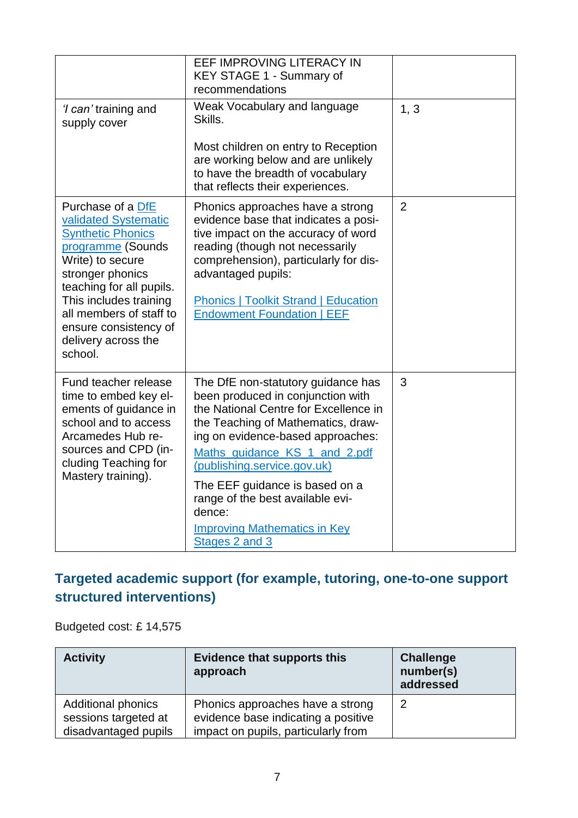|                                                                                                                                                                                                                                                                                | EEF IMPROVING LITERACY IN<br>KEY STAGE 1 - Summary of<br>recommendations                                                                                                                                                                                                                                                                                                                             |                |
|--------------------------------------------------------------------------------------------------------------------------------------------------------------------------------------------------------------------------------------------------------------------------------|------------------------------------------------------------------------------------------------------------------------------------------------------------------------------------------------------------------------------------------------------------------------------------------------------------------------------------------------------------------------------------------------------|----------------|
| <i>'I can'</i> training and<br>supply cover                                                                                                                                                                                                                                    | Weak Vocabulary and language<br>Skills.                                                                                                                                                                                                                                                                                                                                                              | 1, 3           |
|                                                                                                                                                                                                                                                                                | Most children on entry to Reception<br>are working below and are unlikely<br>to have the breadth of vocabulary<br>that reflects their experiences.                                                                                                                                                                                                                                                   |                |
| Purchase of a DfE<br>validated Systematic<br><b>Synthetic Phonics</b><br>programme (Sounds<br>Write) to secure<br>stronger phonics<br>teaching for all pupils.<br>This includes training<br>all members of staff to<br>ensure consistency of<br>delivery across the<br>school. | Phonics approaches have a strong<br>evidence base that indicates a posi-<br>tive impact on the accuracy of word<br>reading (though not necessarily<br>comprehension), particularly for dis-<br>advantaged pupils:<br><b>Phonics   Toolkit Strand   Education</b><br><b>Endowment Foundation   EEF</b>                                                                                                | $\overline{2}$ |
| Fund teacher release<br>time to embed key el-<br>ements of guidance in<br>school and to access<br>Arcamedes Hub re-<br>sources and CPD (in-<br>cluding Teaching for<br>Mastery training).                                                                                      | The DfE non-statutory guidance has<br>been produced in conjunction with<br>the National Centre for Excellence in<br>the Teaching of Mathematics, draw-<br>ing on evidence-based approaches:<br>Maths_guidance_KS_1_and_2.pdf<br>(publishing.service.gov.uk)<br>The EEF guidance is based on a<br>range of the best available evi-<br>dence:<br><b>Improving Mathematics in Key</b><br>Stages 2 and 3 | 3              |

### **Targeted academic support (for example, tutoring, one-to-one support structured interventions)**

Budgeted cost: £ 14,575

| <b>Activity</b>                                                           | <b>Evidence that supports this</b><br>approach                                                                 | <b>Challenge</b><br>number(s)<br>addressed |
|---------------------------------------------------------------------------|----------------------------------------------------------------------------------------------------------------|--------------------------------------------|
| <b>Additional phonics</b><br>sessions targeted at<br>disadvantaged pupils | Phonics approaches have a strong<br>evidence base indicating a positive<br>impact on pupils, particularly from | 2                                          |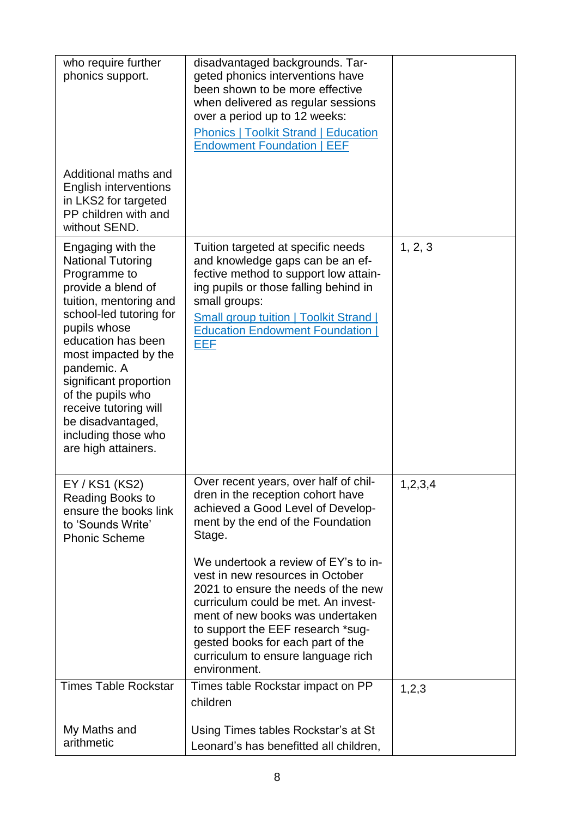| who require further<br>phonics support.                                                                                                                                                                                                                                                                                                                          | disadvantaged backgrounds. Tar-<br>geted phonics interventions have<br>been shown to be more effective<br>when delivered as regular sessions<br>over a period up to 12 weeks:<br><b>Phonics   Toolkit Strand   Education</b><br><b>Endowment Foundation   EEF</b>                  |         |
|------------------------------------------------------------------------------------------------------------------------------------------------------------------------------------------------------------------------------------------------------------------------------------------------------------------------------------------------------------------|------------------------------------------------------------------------------------------------------------------------------------------------------------------------------------------------------------------------------------------------------------------------------------|---------|
| Additional maths and<br><b>English interventions</b><br>in LKS2 for targeted<br>PP children with and<br>without SEND.                                                                                                                                                                                                                                            |                                                                                                                                                                                                                                                                                    |         |
| Engaging with the<br><b>National Tutoring</b><br>Programme to<br>provide a blend of<br>tuition, mentoring and<br>school-led tutoring for<br>pupils whose<br>education has been<br>most impacted by the<br>pandemic. A<br>significant proportion<br>of the pupils who<br>receive tutoring will<br>be disadvantaged,<br>including those who<br>are high attainers. | Tuition targeted at specific needs<br>and knowledge gaps can be an ef-<br>fective method to support low attain-<br>ing pupils or those falling behind in<br>small groups:<br><b>Small group tuition   Toolkit Strand  </b><br><b>Education Endowment Foundation</b><br>EEF         | 1, 2, 3 |
| EY / KS1 (KS2)<br>Reading Books to<br>ensure the books link<br>to 'Sounds Write'<br><b>Phonic Scheme</b>                                                                                                                                                                                                                                                         | Over recent years, over half of chil-<br>dren in the reception cohort have<br>achieved a Good Level of Develop-<br>ment by the end of the Foundation<br>Stage.<br>We undertook a review of EY's to in-                                                                             | 1,2,3,4 |
|                                                                                                                                                                                                                                                                                                                                                                  | vest in new resources in October<br>2021 to ensure the needs of the new<br>curriculum could be met. An invest-<br>ment of new books was undertaken<br>to support the EEF research *sug-<br>gested books for each part of the<br>curriculum to ensure language rich<br>environment. |         |
| <b>Times Table Rockstar</b>                                                                                                                                                                                                                                                                                                                                      | Times table Rockstar impact on PP<br>children                                                                                                                                                                                                                                      | 1,2,3   |
| My Maths and<br>arithmetic                                                                                                                                                                                                                                                                                                                                       | Using Times tables Rockstar's at St<br>Leonard's has benefitted all children,                                                                                                                                                                                                      |         |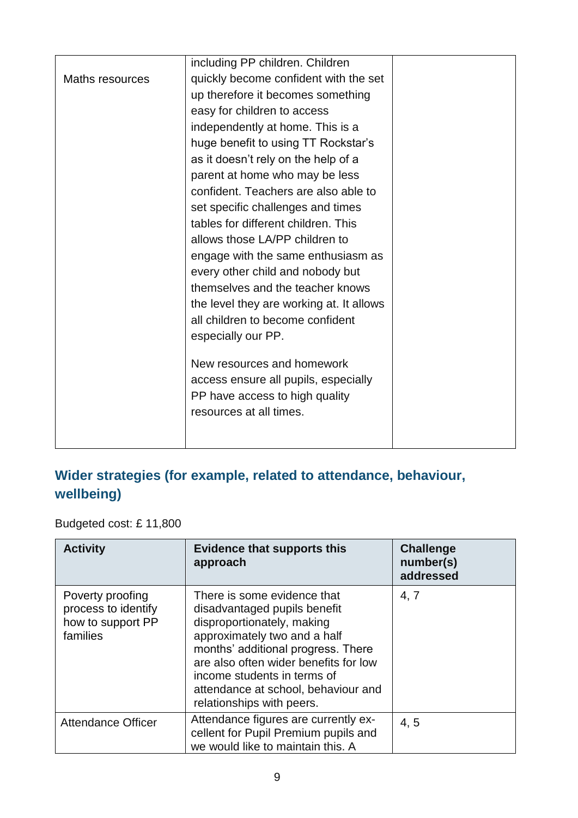| quickly become confident with the set    |                                                                                                                                                                    |
|------------------------------------------|--------------------------------------------------------------------------------------------------------------------------------------------------------------------|
| up therefore it becomes something        |                                                                                                                                                                    |
| easy for children to access              |                                                                                                                                                                    |
| independently at home. This is a         |                                                                                                                                                                    |
| huge benefit to using TT Rockstar's      |                                                                                                                                                                    |
| as it doesn't rely on the help of a      |                                                                                                                                                                    |
| parent at home who may be less           |                                                                                                                                                                    |
| confident. Teachers are also able to     |                                                                                                                                                                    |
| set specific challenges and times        |                                                                                                                                                                    |
| tables for different children. This      |                                                                                                                                                                    |
| allows those LA/PP children to           |                                                                                                                                                                    |
| engage with the same enthusiasm as       |                                                                                                                                                                    |
| every other child and nobody but         |                                                                                                                                                                    |
| themselves and the teacher knows         |                                                                                                                                                                    |
| the level they are working at. It allows |                                                                                                                                                                    |
| all children to become confident         |                                                                                                                                                                    |
| especially our PP.                       |                                                                                                                                                                    |
|                                          |                                                                                                                                                                    |
|                                          |                                                                                                                                                                    |
|                                          |                                                                                                                                                                    |
|                                          |                                                                                                                                                                    |
|                                          |                                                                                                                                                                    |
|                                          |                                                                                                                                                                    |
|                                          | including PP children. Children<br>New resources and homework<br>access ensure all pupils, especially<br>PP have access to high quality<br>resources at all times. |

### **Wider strategies (for example, related to attendance, behaviour, wellbeing)**

Budgeted cost: £ 11,800

| <b>Activity</b>                                                          | <b>Evidence that supports this</b><br>approach                                                                                                                                                                                                                                                              | <b>Challenge</b><br>number(s)<br>addressed |
|--------------------------------------------------------------------------|-------------------------------------------------------------------------------------------------------------------------------------------------------------------------------------------------------------------------------------------------------------------------------------------------------------|--------------------------------------------|
| Poverty proofing<br>process to identify<br>how to support PP<br>families | There is some evidence that<br>disadvantaged pupils benefit<br>disproportionately, making<br>approximately two and a half<br>months' additional progress. There<br>are also often wider benefits for low<br>income students in terms of<br>attendance at school, behaviour and<br>relationships with peers. | 4, 7                                       |
| <b>Attendance Officer</b>                                                | Attendance figures are currently ex-<br>cellent for Pupil Premium pupils and<br>we would like to maintain this. A                                                                                                                                                                                           | 4, 5                                       |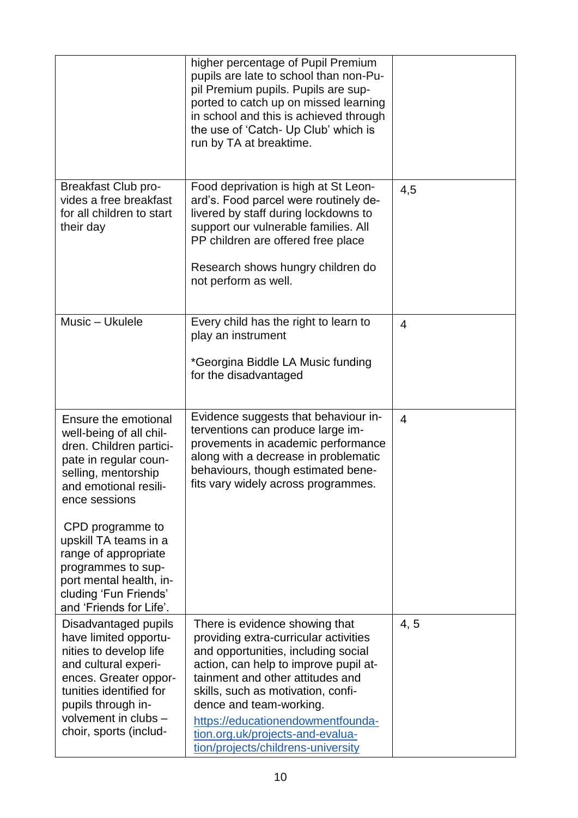|                                                                                                                                                                                                                                                                                                                     | higher percentage of Pupil Premium<br>pupils are late to school than non-Pu-<br>pil Premium pupils. Pupils are sup-<br>ported to catch up on missed learning<br>in school and this is achieved through<br>the use of 'Catch- Up Club' which is<br>run by TA at breaktime.                                                                                                   |                |
|---------------------------------------------------------------------------------------------------------------------------------------------------------------------------------------------------------------------------------------------------------------------------------------------------------------------|-----------------------------------------------------------------------------------------------------------------------------------------------------------------------------------------------------------------------------------------------------------------------------------------------------------------------------------------------------------------------------|----------------|
| <b>Breakfast Club pro-</b><br>vides a free breakfast<br>for all children to start<br>their day                                                                                                                                                                                                                      | Food deprivation is high at St Leon-<br>ard's. Food parcel were routinely de-<br>livered by staff during lockdowns to<br>support our vulnerable families. All<br>PP children are offered free place<br>Research shows hungry children do<br>not perform as well.                                                                                                            | 4,5            |
| Music - Ukulele                                                                                                                                                                                                                                                                                                     | Every child has the right to learn to<br>play an instrument<br>*Georgina Biddle LA Music funding<br>for the disadvantaged                                                                                                                                                                                                                                                   | $\overline{4}$ |
| Ensure the emotional<br>well-being of all chil-<br>dren. Children partici-<br>pate in regular coun-<br>selling, mentorship<br>and emotional resili-<br>ence sessions<br>CPD programme to<br>upskill TA teams in a<br>range of appropriate<br>programmes to sup-<br>port mental health, in-<br>cluding 'Fun Friends' | Evidence suggests that behaviour in-<br>terventions can produce large im-<br>provements in academic performance<br>along with a decrease in problematic<br>behaviours, though estimated bene-<br>fits vary widely across programmes.                                                                                                                                        | 4              |
| and 'Friends for Life'.<br>Disadvantaged pupils<br>have limited opportu-<br>nities to develop life<br>and cultural experi-<br>ences. Greater oppor-<br>tunities identified for<br>pupils through in-<br>volvement in clubs -<br>choir, sports (includ-                                                              | There is evidence showing that<br>providing extra-curricular activities<br>and opportunities, including social<br>action, can help to improve pupil at-<br>tainment and other attitudes and<br>skills, such as motivation, confi-<br>dence and team-working.<br>https://educationendowmentfounda-<br>tion.org.uk/projects-and-evalua-<br>tion/projects/childrens-university | 4, 5           |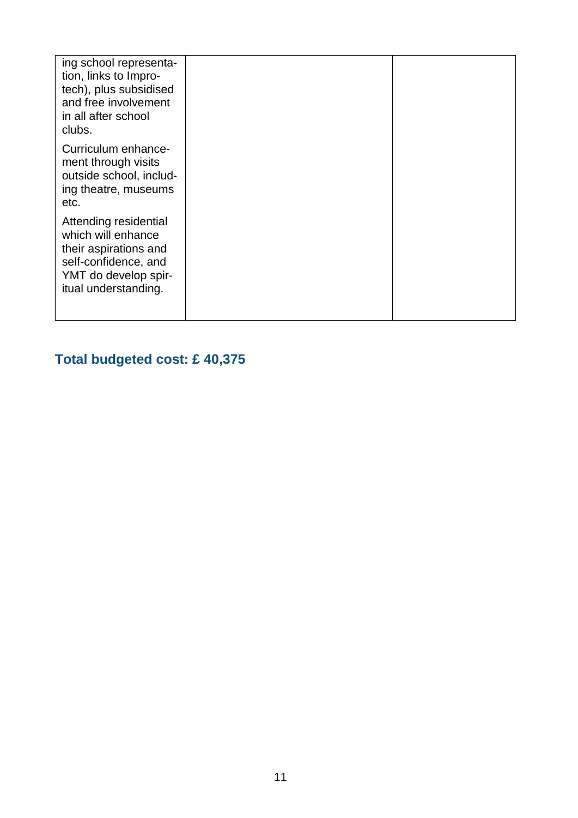| ing school representa-<br>tion, links to Impro-<br>tech), plus subsidised<br>and free involvement<br>in all after school<br>clubs.           |  |
|----------------------------------------------------------------------------------------------------------------------------------------------|--|
| Curriculum enhance-<br>ment through visits<br>outside school, includ-<br>ing theatre, museums<br>etc.                                        |  |
| Attending residential<br>which will enhance<br>their aspirations and<br>self-confidence, and<br>YMT do develop spir-<br>itual understanding. |  |

# **Total budgeted cost: £ 40,375**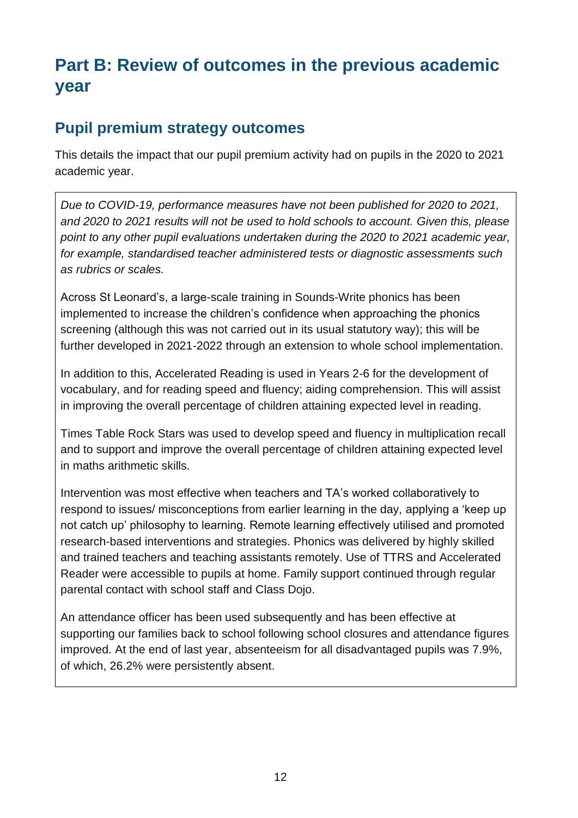# **Part B: Review of outcomes in the previous academic year**

#### **Pupil premium strategy outcomes**

This details the impact that our pupil premium activity had on pupils in the 2020 to 2021 academic year.

*Due to COVID-19, performance measures have not been published for 2020 to 2021, and 2020 to 2021 results will not be used to hold schools to account. Given this, please point to any other pupil evaluations undertaken during the 2020 to 2021 academic year, for example, standardised teacher administered tests or diagnostic assessments such as rubrics or scales.*

Across St Leonard's, a large-scale training in Sounds-Write phonics has been implemented to increase the children's confidence when approaching the phonics screening (although this was not carried out in its usual statutory way); this will be further developed in 2021-2022 through an extension to whole school implementation.

In addition to this, Accelerated Reading is used in Years 2-6 for the development of vocabulary, and for reading speed and fluency; aiding comprehension. This will assist in improving the overall percentage of children attaining expected level in reading.

Times Table Rock Stars was used to develop speed and fluency in multiplication recall and to support and improve the overall percentage of children attaining expected level in maths arithmetic skills.

Intervention was most effective when teachers and TA's worked collaboratively to respond to issues/ misconceptions from earlier learning in the day, applying a 'keep up not catch up' philosophy to learning. Remote learning effectively utilised and promoted research-based interventions and strategies. Phonics was delivered by highly skilled and trained teachers and teaching assistants remotely. Use of TTRS and Accelerated Reader were accessible to pupils at home. Family support continued through regular parental contact with school staff and Class Dojo.

An attendance officer has been used subsequently and has been effective at supporting our families back to school following school closures and attendance figures improved. At the end of last year, absenteeism for all disadvantaged pupils was 7.9%, of which, 26.2% were persistently absent.